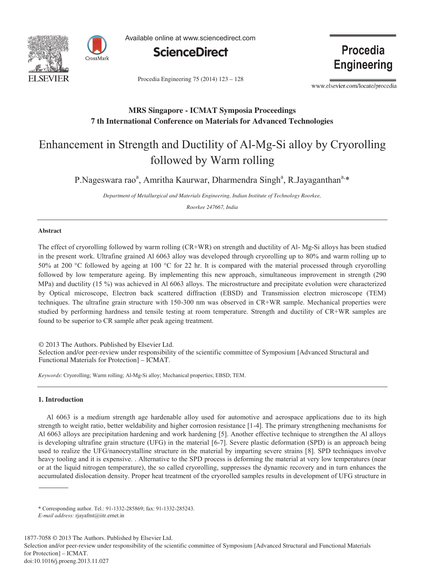



Available online at www.sciencedirect.com



Procedia Engineering 75 (2014) 123 - 128

Procedia **Engineering** 

www.elsevier.com/locate/procedia

# **MRS Singapore - ICMAT Symposia Proceedings 7 th International Conference on Materials for Advanced Technologies**

# Enhancement in Strength and Ductility of Al-Mg-Si alloy by Cryorolling followed by Warm rolling

P.Nageswara rao<sup>a</sup>, Amritha Kaurwar, Dharmendra Singh<sup>a</sup>, R.Jayaganthan<sup>a,\*</sup>

*Department of Metallurgical and Materials Engineering, Indian Institute of Technology Roorkee,* 

*Roorkee 247667, India* 

# **Abstract**

The effect of cryorolling followed by warm rolling (CR+WR) on strength and ductility of Al- Mg-Si alloys has been studied in the present work. Ultrafine grained Al 6063 alloy was developed through cryorolling up to 80% and warm rolling up to 50% at 200 °C followed by ageing at 100 °C for 22 hr. It is compared with the material processed through cryorolling followed by low temperature ageing. By implementing this new approach, simultaneous improvement in strength (290 MPa) and ductility (15 %) was achieved in Al 6063 alloys. The microstructure and precipitate evolution were characterized by Optical microscope, Electron back scattered diffraction (EBSD) and Transmission electron microscope (TEM) techniques. The ultrafine grain structure with 150-300 nm was observed in CR+WR sample. Mechanical properties were studied by performing hardness and tensile testing at room temperature. Strength and ductility of CR+WR samples are found to be superior to CR sample after peak ageing treatment.

© 2013 The Authors. Published by Elsevier Ltd. © 2013 The Authors. Published by Elsevier Ltd.

Selection and/or peer-review under responsibility of the scientific committee of Symposium [Advanced Structural and Functional Materials for Protection**]** – ICMAT. Functional Materials for Protection] – ICMAT.

*Keywords*: Cryorolling; Warm rolling; Al-Mg-Si alloy; Mechanical properties; EBSD; TEM.

# **1. Introduction**

Al 6063 is a medium strength age hardenable alloy used for automotive and aerospace applications due to its high strength to weight ratio, better weldability and higher corrosion resistance [1-4]. The primary strengthening mechanisms for Al 6063 alloys are precipitation hardening and work hardening [5]. Another effective technique to strengthen the Al alloys is developing ultrafine grain structure (UFG) in the material [6-7]. Severe plastic deformation (SPD) is an approach being used to realize the UFG/nanocrystalline structure in the material by imparting severe strains [8]. SPD techniques involve heavy tooling and it is expensive. . Alternative to the SPD process is deforming the material at very low temperatures (near or at the liquid nitrogen temperature), the so called cryorolling, suppresses the dynamic recovery and in turn enhances the accumulated dislocation density. Proper heat treatment of the cryorolled samples results in development of UFG structure in

1877-7058 © 2013 The Authors. Published by Elsevier Ltd. Selection and/or peer-review under responsibility of the scientific committee of Symposium [Advanced Structural and Functional Materials for Protection] – ICMAT. doi: 10.1016/j.proeng.2013.11.027

<sup>\*</sup> Corresponding author. Tel.: 91-1332-285869; fax: 91-1332-285243.

*E-mail address:* rjayafmt@iitr.ernet.in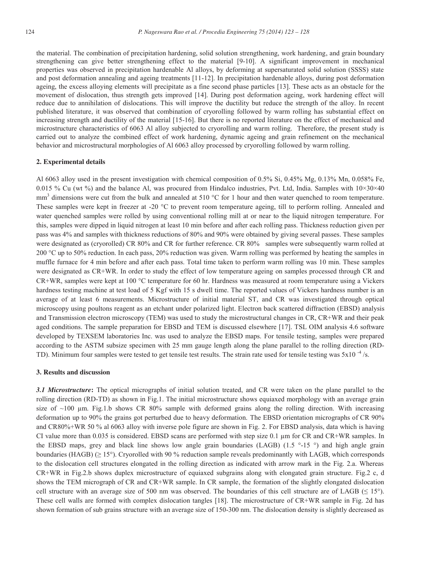the material. The combination of precipitation hardening, solid solution strengthening, work hardening, and grain boundary strengthening can give better strengthening effect to the material [9-10]. A significant improvement in mechanical properties was observed in precipitation hardenable Al alloys, by deforming at supersaturated solid solution (SSSS) state and post deformation annealing and ageing treatments [11-12]. In precipitation hardenable alloys, during post deformation ageing, the excess alloying elements will precipitate as a fine second phase particles [13]. These acts as an obstacle for the movement of dislocation, thus strength gets improved [14]. During post deformation ageing, work hardening effect will reduce due to annihilation of dislocations. This will improve the ductility but reduce the strength of the alloy. In recent published literature, it was observed that combination of cryorolling followed by warm rolling has substantial effect on increasing strength and ductility of the material [15-16]. But there is no reported literature on the effect of mechanical and microstructure characteristics of 6063 Al alloy subjected to cryorolling and warm rolling. Therefore, the present study is carried out to analyze the combined effect of work hardening, dynamic ageing and grain refinement on the mechanical behavior and microstructural morphologies of Al 6063 alloy processed by cryorolling followed by warm rolling.

#### **2. Experimental details**

Al 6063 alloy used in the present investigation with chemical composition of 0.5% Si, 0.45% Mg, 0.13% Mn, 0.058% Fe, 0.015 % Cu (wt %) and the balance Al, was procured from Hindalco industries, Pvt. Ltd, India. Samples with  $10\times30\times40$  $mm<sup>3</sup>$  dimensions were cut from the bulk and annealed at 510 °C for 1 hour and then water quenched to room temperature. These samples were kept in freezer at -20 °C to prevent room temperature ageing, till to perform rolling. Annealed and water quenched samples were rolled by using conventional rolling mill at or near to the liquid nitrogen temperature. For this, samples were dipped in liquid nitrogen at least 10 min before and after each rolling pass. Thickness reduction given per pass was 4% and samples with thickness reductions of 80% and 90% were obtained by giving several passes. These samples were designated as (cryorolled) CR 80% and CR for further reference. CR 80% samples were subsequently warm rolled at 200 °C up to 50% reduction. In each pass, 20% reduction was given. Warm rolling was performed by heating the samples in muffle furnace for 4 min before and after each pass. Total time taken to perform warm rolling was 10 min. These samples were designated as CR+WR. In order to study the effect of low temperature ageing on samples processed through CR and CR+WR, samples were kept at 100 °C temperature for 60 hr. Hardness was measured at room temperature using a Vickers hardness testing machine at test load of 5 Kgf with 15 s dwell time. The reported values of Vickers hardness number is an average of at least 6 measurements. Microstructure of initial material ST, and CR was investigated through optical microscopy using poultons reagent as an etchant under polarized light. Electron back scattered diffraction (EBSD) analysis and Transmission electron microscopy (TEM) was used to study the microstructural changes in CR, CR+WR and their peak aged conditions. The sample preparation for EBSD and TEM is discussed elsewhere [17]. TSL OIM analysis 4.6 software developed by TEXSEM laboratories Inc. was used to analyze the EBSD maps. For tensile testing, samples were prepared according to the ASTM subsize specimen with 25 mm gauge length along the plane parallel to the rolling direction (RD-TD). Minimum four samples were tested to get tensile test results. The strain rate used for tensile testing was  $5x10^{-4}$ /s.

# **3. Results and discussion**

*3.1 Microstructure***:** The optical micrographs of initial solution treated, and CR were taken on the plane parallel to the rolling direction (RD-TD) as shown in Fig.1. The initial microstructure shows equiaxed morphology with an average grain size of  $~100$  μm. Fig.1.b shows CR 80% sample with deformed grains along the rolling direction. With increasing deformation up to 90% the grains got perturbed due to heavy deformation. The EBSD orientation micrographs of CR 90% and CR80%+WR 50 % al 6063 alloy with inverse pole figure are shown in Fig. 2. For EBSD analysis, data which is having CI value more than 0.035 is considered. EBSD scans are performed with step size 0.1 μm for CR and CR+WR samples. In the EBSD maps, grey and black line shows low angle grain boundaries (LAGB) (1.5  $\degree$ -15  $\degree$ ) and high angle grain boundaries (HAGB) (≥ 15°). Cryorolled with 90 % reduction sample reveals predominantly with LAGB, which corresponds to the dislocation cell structures elongated in the rolling direction as indicated with arrow mark in the Fig. 2.a. Whereas CR+WR in Fig.2.b shows duplex microstructure of equiaxed subgrains along with elongated grain structure. Fig.2 c, d shows the TEM micrograph of CR and CR+WR sample. In CR sample, the formation of the slightly elongated dislocation cell structure with an average size of 500 nm was observed. The boundaries of this cell structure are of LAGB  $(≤ 15°)$ . These cell walls are formed with complex dislocation tangles [18]. The microstructure of CR+WR sample in Fig. 2d has shown formation of sub grains structure with an average size of 150-300 nm. The dislocation density is slightly decreased as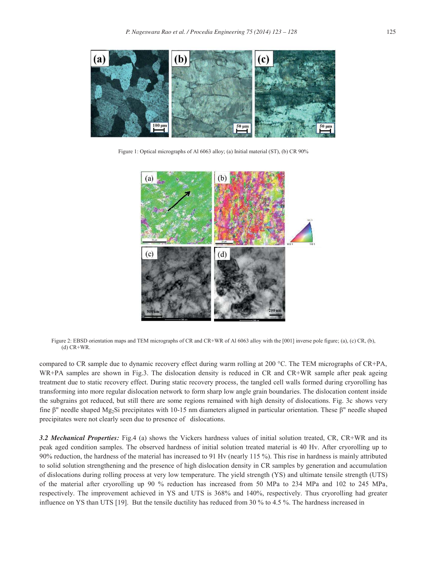

Figure 1: Optical micrographs of Al 6063 alloy; (a) Initial material (ST), (b) CR 90%



Figure 2: EBSD orientation maps and TEM micrographs of CR and CR+WR of Al 6063 alloy with the [001] inverse pole figure; (a), (c) CR, (b),  $(d)$  CR+WR.

compared to CR sample due to dynamic recovery effect during warm rolling at 200 °C. The TEM micrographs of CR+PA, WR+PA samples are shown in Fig.3. The dislocation density is reduced in CR and CR+WR sample after peak ageing treatment due to static recovery effect. During static recovery process, the tangled cell walls formed during cryorolling has transforming into more regular dislocation network to form sharp low angle grain boundaries. The dislocation content inside the subgrains got reduced, but still there are some regions remained with high density of dislocations. Fig. 3c shows very fine β" needle shaped Mg2Si precipitates with 10-15 nm diameters aligned in particular orientation. These β" needle shaped precipitates were not clearly seen due to presence of dislocations.

*3.2 Mechanical Properties:* Fig.4 (a) shows the Vickers hardness values of initial solution treated, CR, CR+WR and its peak aged condition samples. The observed hardness of initial solution treated material is 40 Hv. After cryorolling up to 90% reduction, the hardness of the material has increased to 91 Hv (nearly 115 %). This rise in hardness is mainly attributed to solid solution strengthening and the presence of high dislocation density in CR samples by generation and accumulation of dislocations during rolling process at very low temperature. The yield strength (YS) and ultimate tensile strength (UTS) of the material after cryorolling up 90 % reduction has increased from 50 MPa to 234 MPa and 102 to 245 MPa, respectively. The improvement achieved in YS and UTS is 368% and 140%, respectively. Thus cryorolling had greater influence on YS than UTS [19]. But the tensile ductility has reduced from 30 % to 4.5 %. The hardness increased in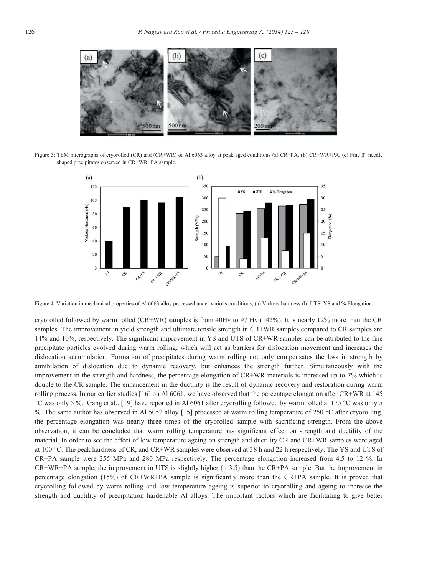

Figure 3: TEM micrographs of cryorolled (CR) and (CR+WR) of Al 6063 alloy at peak aged conditions (a) CR+PA, (b) CR+WR+PA, (c) Fine β" needle shaped precipitates observed in CR+WR+PA sample.



Figure 4: Variation in mechanical properties of Al 6063 alloy processed under various conditions; (a) Vickers hardness (b) UTS, YS and % Elongation

cryorolled followed by warm rolled (CR+WR) samples is from 40Hv to 97 Hv (142%). It is nearly 12% more than the CR samples. The improvement in yield strength and ultimate tensile strength in CR+WR samples compared to CR samples are 14% and 10%, respectively. The significant improvement in YS and UTS of CR+WR samples can be attributed to the fine precipitate particles evolved during warm rolling, which will act as barriers for dislocation movement and increases the dislocation accumulation. Formation of precipitates during warm rolling not only compensates the loss in strength by annihilation of dislocation due to dynamic recovery, but enhances the strength further. Simultaneously with the improvement in the strength and hardness, the percentage elongation of CR+WR materials is increased up to 7% which is double to the CR sample. The enhancement in the ductility is the result of dynamic recovery and restoration during warm rolling process. In our earlier studies [16] on Al 6061, we have observed that the percentage elongation after CR+WR at 145 °C was only 5 %. Gang et al., [19] have reported in Al 6061 after cryorolling followed by warm rolled at 175 °C was only 5 %. The same author has observed in Al 5052 alloy [15] processed at warm rolling temperature of 250 °C after cryorolling, the percentage elongation was nearly three times of the cryorolled sample with sacrificing strength. From the above observation, it can be concluded that warm rolling temperature has significant effect on strength and ductility of the material. In order to see the effect of low temperature ageing on strength and ductility CR and CR+WR samples were aged at 100 °C. The peak hardness of CR, and CR+WR samples were observed at 38 h and 22 h respectively. The YS and UTS of CR+PA sample were 255 MPa and 280 MPa respectively. The percentage elongation increased from 4.5 to 12 %. In  $CR+WR+PA$  sample, the improvement in UTS is slightly higher ( $\sim$  3.5) than the CR+PA sample. But the improvement in percentage elongation (15%) of CR+WR+PA sample is significantly more than the CR+PA sample. It is proved that cryorolling followed by warm rolling and low temperature ageing is superior to cryorolling and ageing to increase the strength and ductility of precipitation hardenable Al alloys. The important factors which are facilitating to give better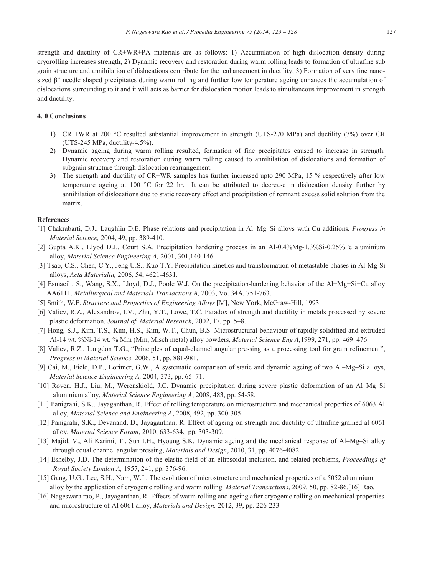strength and ductility of CR+WR+PA materials are as follows: 1) Accumulation of high dislocation density during cryorolling increases strength, 2) Dynamic recovery and restoration during warm rolling leads to formation of ultrafine sub grain structure and annihilation of dislocations contribute for the enhancement in ductility, 3) Formation of very fine nanosized β" needle shaped precipitates during warm rolling and further low temperature ageing enhances the accumulation of dislocations surrounding to it and it will acts as barrier for dislocation motion leads to simultaneous improvement in strength and ductility.

# **4. 0 Conclusions**

- 1) CR +WR at 200 °C resulted substantial improvement in strength (UTS-270 MPa) and ductility (7%) over CR (UTS-245 MPa, ductility-4.5%).
- 2) Dynamic ageing during warm rolling resulted, formation of fine precipitates caused to increase in strength. Dynamic recovery and restoration during warm rolling caused to annihilation of dislocations and formation of subgrain structure through dislocation rearrangement.
- 3) The strength and ductility of CR+WR samples has further increased upto 290 MPa, 15 % respectively after low temperature ageing at 100 °C for 22 hr. It can be attributed to decrease in dislocation density further by annihilation of dislocations due to static recovery effect and precipitation of remnant excess solid solution from the matrix.

#### **References**

- [1] Chakrabarti, D.J., Laughlin D.E. Phase relations and precipitation in Al–Mg–Si alloys with Cu additions, *Progress in Material Science,* 2004, 49, pp. 389-410.
- [2] Gupta A.K., Llyod D.J., Court S.A. Precipitation hardening process in an Al-0.4%Mg-1.3%Si-0.25%Fe aluminium alloy, *Material Science Engineering A,* 2001, 301,140-146.
- [3] Tsao, C.S., Chen, C.Y., Jeng U.S., Kuo T.Y. Precipitation kinetics and transformation of metastable phases in Al-Mg-Si alloys, *Acta Materialia,* 2006, 54, 4621-4631.
- [4] Esmaeili, S., Wang, S.X., Lloyd, D.J., Poole W.J. On the precipitation-hardening behavior of the Al−Mg−Si−Cu alloy AA6111, *Metallurgical and Materials Transactions A,* 2003, Vo. 34A, 751-763.
- [5] Smith, W.F. *Structure and Properties of Engineering Alloys* [M], New York, McGraw-Hill, 1993.
- [6] Valiev, R.Z., Alexandrov, I.V., Zhu, Y.T., Lowe, T.C. Paradox of strength and ductility in metals processed by severe plastic deformation, *Journal of Material Research,* 2002, 17, pp. 5–8.
- [7] Hong, S.J., Kim, T.S., Kim, H.S., Kim, W.T., Chun, B.S. Microstructural behaviour of rapidly solidified and extruded Al-14 wt. %Ni-14 wt. % Mm (Mm, Misch metal) alloy powders, *Material Science Eng A,*1999, 271, pp. 469–476.
- [8] Valiev, R.Z., Langdon T.G., "Principles of equal-channel angular pressing as a processing tool for grain refinement", *Progress in Material Science,* 2006, 51, pp. 881-981.
- [9] Cai, M., Field, D.P., Lorimer, G.W., A systematic comparison of static and dynamic ageing of two Al–Mg–Si alloys, *Material Science Engineering A,* 2004, 373, pp. 65–71.
- [10] Roven, H.J., Liu, M., Werenskiold, J.C. Dynamic precipitation during severe plastic deformation of an Al–Mg–Si aluminium alloy, *Material Science Engineering A*, 2008, 483, pp. 54-58.
- [11] Panigrahi, S.K., Jayaganthan, R. Effect of rolling temperature on microstructure and mechanical properties of 6063 Al alloy, *Material Science and Engineering A*, 2008, 492, pp. 300-305.
- [12] Panigrahi, S.K., Devanand, D., Jayaganthan, R. Effect of ageing on strength and ductility of ultrafine grained al 6061 alloy, *Material Science Forum*, 2010, 633-634, pp. 303-309.
- [13] Majid, V., Ali Karimi, T., Sun I.H., Hyoung S.K. Dynamic ageing and the mechanical response of Al–Mg–Si alloy through equal channel angular pressing, *Materials and Design*, 2010, 31, pp. 4076-4082.
- [14] Eshelby, J.D. The determination of the elastic field of an ellipsoidal inclusion, and related problems, *Proceedings of Royal Society London A,* 1957, 241, pp. 376-96.
- [15] Gang, U.G., Lee, S.H., Nam, W.J., The evolution of microstructure and mechanical properties of a 5052 aluminium alloy by the application of cryogenic rolling and warm rolling*, Material Transactions*, 2009, 50, pp. 82-86.[16] Rao,
- [16] Nageswara rao, P., Jayaganthan, R. Effects of warm rolling and ageing after cryogenic rolling on mechanical properties and microstructure of Al 6061 alloy, *Materials and Design,* 2012, 39, pp. 226-233